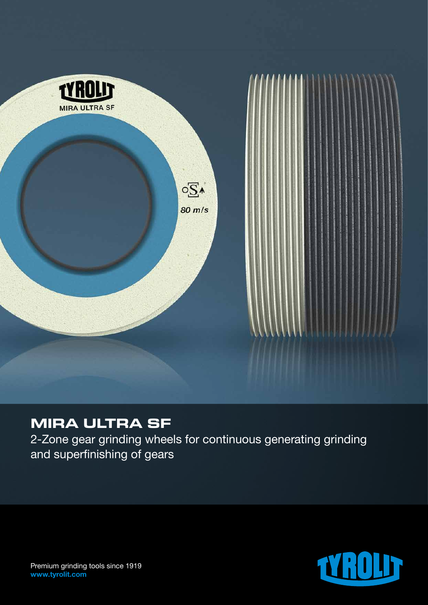

# **MIRA ULTRA SF**

2-Zone gear grinding wheels for continuous generating grinding and superfinishing of gears